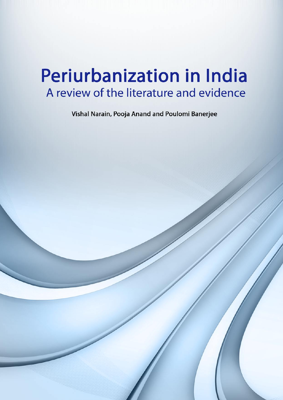# **Periurbanization in India** A review of the literature and evidence

Vishal Narain, Pooja Anand and Poulomi Banerjee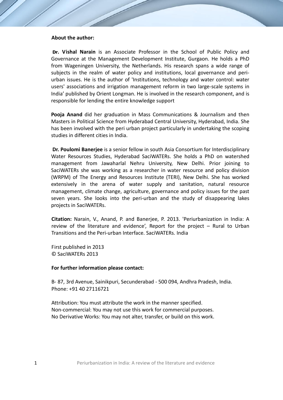# **About the author:**

**Dr. Vishal Narain** is an Associate Professor in the School of Public Policy and Governance at the Management Development Institute, Gurgaon. He holds a PhD from Wageningen University, the Netherlands. His research spans a wide range of subjects in the realm of water policy and institutions, local governance and periurban issues. He is the author of 'Institutions, technology and water control: water users' associations and irrigation management reform in two large-scale systems in India' published by Orient Longman. He is involved in the research component, and is responsible for lending the entire knowledge support

**Pooja Anand** did her graduation in Mass Communications & Journalism and then Masters in Political Science from Hyderabad Central University, Hyderabad, India. She has been involved with the peri urban project particularly in undertaking the scoping studies in different cities in India.

**Dr. Poulomi Banerjee** is a senior fellow in south Asia Consortium for Interdisciplinary Water Resources Studies, Hyderabad SaciWATERs. She holds a PhD on watershed management from Jawaharlal Nehru University, New Delhi. Prior joining to SaciWATERs she was working as a researcher in water resource and policy division (WRPM) of The Energy and Resources Institute (TERI), New Delhi. She has worked extensively in the arena of water supply and sanitation, natural resource management, climate change, agriculture, governance and policy issues for the past seven years. She looks into the peri-urban and the study of disappearing lakes projects in SaciWATERs.

**Citation:** Narain, V., Anand, P. and Banerjee, P. 2013. 'Periurbanization in India: A review of the literature and evidence', Report for the project – Rural to Urban Transitions and the Peri-urban Interface. SaciWATERs. India

First published in 2013 © SaciWATERs 2013

#### **For further information please contact:**

B- 87, 3rd Avenue, Sainikpuri, Secunderabad - 500 094, Andhra Pradesh, India. Phone: +91 40 27116721

Attribution: You must attribute the work in the manner specified. Non-commercial: You may not use this work for commercial purposes. No Derivative Works: You may not alter, transfer, or build on this work.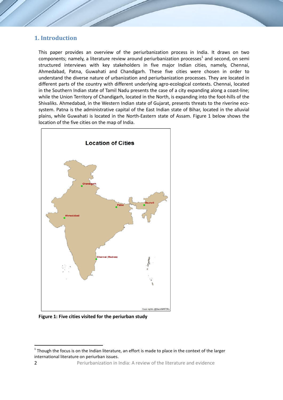# **1. Introduction**

This paper provides an overview of the periurbanization process in India. It draws on two components; namely, a literature review around periurbanization processes<sup>1</sup> and second, on semi structured interviews with key stakeholders in five major Indian cities, namely, Chennai, Ahmedabad, Patna, Guwahati and Chandigarh. These five cities were chosen in order to understand the diverse nature of urbanization and periurbanization processes. They are located in different parts of the country with different underlying agro-ecological contexts. Chennai, located in the Southern Indian state of Tamil Nadu presents the case of a city expanding along a coast-line; while the Union Territory of Chandigarh, located in the North, is expanding into the foot-hills of the Shivaliks. Ahmedabad, in the Western Indian state of Gujarat, presents threats to the riverine ecosystem. Patna is the administrative capital of the East Indian state of Bihar, located in the alluvial plains, while Guwahati is located in the North-Eastern state of Assam. Figure 1 below shows the location of the five cities on the map of India.



**Figure 1: Five cities visited for the periurban study** 

 $1$  Though the focus is on the Indian literature, an effort is made to place in the context of the larger international literature on periurban issues.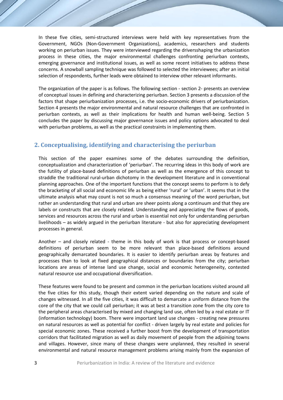In these five cities, semi-structured interviews were held with key representatives from the Government, NGOs (Non-Government Organizations), academics, researchers and students working on periurban issues. They were interviewed regarding the driversshaping the urbanization process in these cities, the major environmental challenges confronting periurban contexts, emerging governance and institutional issues, as well as some recent initiatives to address these concerns. A snowball sampling technique was followed to selected the interviewees; after an initial selection of respondents, further leads were obtained to interview other relevant informants.

The organization of the paper is as follows. The following section - section 2- presents an overview of conceptual issues in defining and characterizing periurban. Section 3 presents a discussion of the factors that shape periurbanization processes, i.e. the socio-economic drivers of periurbanization. Section 4 presents the major environmental and natural resource challenges that are confronted in periurban contexts, as well as their implications for health and human well-being. Section 5 concludes the paper by discussing major governance issues and policy options advocated to deal with periurban problems, as well as the practical constraints in implementing them.

# **2. Conceptualising, identifying and characterising the periurban**

This section of the paper examines some of the debates surrounding the definition, conceptualization and characterization of 'periurban'. The recurring ideas in this body of work are the futility of place-based definitions of periurban as well as the emergence of this concept to straddle the traditional rural-urban dichotomy in the development literature and in conventional planning approaches. One of the important functions that the concept seems to perform is to defy the bracketing of all social and economic life as being either 'rural' or 'urban'. It seems that in the ultimate analysis what may count is not so much a consensus meaning of the word periurban, but rather an understanding that rural and urban are sheer points along a continuum and that they are labels or constructs that are closely related. Understanding and appreciating the flows of goods, services and resources across the rural and urban is essential not only for understanding periurban livelihoods – as widely argued in the periurban literature - but also for appreciating development processes in general.

Another – and closely related - theme in this body of work is that process or concept-based definitions of periurban seem to be more relevant than place-based definitions around geographically demarcated boundaries. It is easier to identify periurban areas by features and processes than to look at fixed geographical distances or boundaries from the city; periurban locations are areas of intense land use change, social and economic heterogeneity, contested natural resource use and occupational diversification.

These features were found to be present and common in the periurban locations visited around all the five cities for this study, though their extent varied depending on the nature and scale of changes witnessed. In all the five cities, it was difficult to demarcate a uniform distance from the core of the city that we could call periurban; it was at best a transition zone from the city core to the peripheral areas characterised by mixed and changing land use, often led by a real estate or IT (information technology) boom. There were important land use changes - creating new pressures on natural resources as well as potential for conflict - driven largely by real estate and policies for special economic zones. These received a further boost from the development of transportation corridors that facilitated migration as well as daily movement of people from the adjoining towns and villages. However, since many of these changes were unplanned, they resulted in several environmental and natural resource management problems arising mainly from the expansion of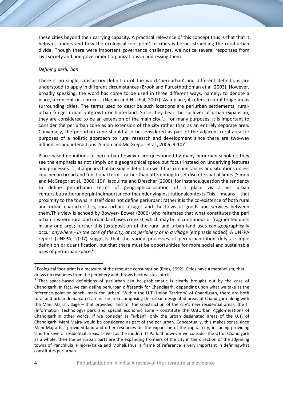these cities beyond their carrying capacity. A practical relevance of this concept thus is that that it helps us understand how the ecological foot-print<sup>2</sup> of cities is borne, straddling the rural-urban divide. Though there were important governance challenges, we notice several responses from civil society and non-government organizations in addressing them.

## *Defining periurban*

There is no single satisfactory definition of the word 'peri-urban' and different definitions are understood to apply in different circumstances (Brook and Purusthothoman et al. 2003). However, broadly speaking, the word has come to be used in three different ways, namely, to denote a place, a concept or a process (Narain and Nischal, 2007). As a place, it refers to rural fringe areas surrounding cities. The terms used to describe such locations are periurban settlements, ruralurban fringe, urban outgrowth or hinterland. Since they bear the spillover of urban expansion, they are considered to be an extension of the main city.'... for many purposes, it is important to consider the periurban zone as an extension of the city rather than as an entirely separate area. Conversely, the periurban zone should also be considered as part of the adjacent rural area for purposes of a holistic approach to rural research and development since there are two-way influences and interactions (Simon and Mc Gregor et al., 2006: 9-10)'.

Place-based definitions of peri-urban however are questioned by many periurban scholars; they see the emphasis as not simply on a geographical space but focus instead on underlying features and processes. '….it appears that no single definition will fit all circumstances and situations unless couched in broad and functional terms, rather than attempting to set discrete spatial limits (Simon and McGregor et al., 2006: 10)'. Iacquinta and Drescher (2000), for instance,question the tendency to define periurbanin terms of geographicallocation of a place vis a vis urban centers,butratherunderpintheimportanceoftheunderlyinginstitutionalcontexts.This means that proximity to the towns in itself does not define periurban; rather it is the co-existence of both rural and urban characteristics, rural-urban linkages and the flows of goods and services between them.This view is echoed by Bowyer- Bower (2006) who reiterates that what constitutes the peri urban is where rural and urban land uses co-exist, which may be in continuous or fragmented units in any one area; further this juxtaposition of the rural and urban land uses can geographically occur *anywhere - in the core of the city, at its periphery or in a village* (emphasis added). A UNFPA report (UNFPA, 2007) suggests that the varied processes of peri-urbanization defy a simple definition or quantification, but that there must be opportunities for more social and sustainable uses of peri-urban space. $3$ 

 $2$  Ecological foot-print is a measure of the resource consumption (Rees, 1992). Cities have a metabolism, that draws on resources from the periphery and throws back wastes into it.

<sup>&</sup>lt;sup>3</sup> That space-based definitions of periurban can be problematic is clearly brought out by the case of Chandigarh. In fact, we can define periurban differently for Chandigarh, depending upon what we take as the reference point or bench- mark for 'urban'. Within the U.T (Union Territory) of Chandigarh, there are both rural and urban demarcated areas.The area comprising the urban designated areas of Chandigarh along with the Mani Majra village – that provided land for the construction of the city's new residential areas, the IT (Information Technology) park and special economic zone - constitute the UA(Urban Agglomeration) of Chandigarh.In other words, if we consider as "urban", only the urban designated areas of the U.T. of Chandigarh, Mani Majra would be considered as part of the periurban. Conceptually, this makes sense since Mani Majra has provided land and other resources for the expansion of the capital city, including providing land for several residential areas, as well as the modern IT Park. If however we consider the UT of Chandigarh as a whole, then the periurban parts are the expanding frontiers of the city in the direction of the adjoining towns of Panchkula, Pinjore/Kalka and Mohali.Thus, a frame of reference is very important in definingwhat constitutes periurban.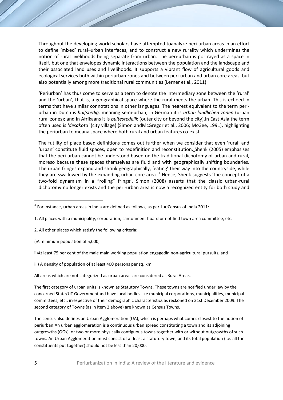Throughout the developing world scholars have attempted toanalyze peri-urban areas in an effort to define 'mixed' rural–urban interfaces, and to construct a new rurality which undermines the notion of rural livelihoods being separate from urban. The peri-urban is portrayed as a space in itself, but one that envelopes dynamic interactions between the population and the landscape and their associated land uses and livelihoods. It supports a vibrant flow of agricultural goods and ecological services both within periurban zones and between peri-urban and urban core areas, but also potentially among more traditional rural communities (Lerner et al., 2011).

'Periurban' has thus come to serve as a term to denote the intermediary zone between the 'rural' and the 'urban', that is, a geographical space where the rural meets the urban. This is echoed in terms that have similar connotations in other languages. The nearest equivalent to the term periurban in Dutch is *halfstedig,* meaning semi-urban; in German it is *urban landlichen zonen* (urban rural zones); and in Afrikaans it is *buitestedelik* (outer city or beyond the city).In East Asia the term often used is *'desakota'* (city village) (Simon andMcGregor et al., 2006; McGee, 1991), highlighting the periurban to meana space where both rural and urban features co-exist.

The futility of place based definitions comes out further when we consider that even 'rural' and 'urban' constitute fluid spaces, open to redefinition and reconstitution. Shenk (2005) emphasises that the peri urban cannot be understood based on the traditional dichotomy of urban and rural, moreso because these spaces themselves are fluid and with geographically shifting boundaries. The urban fringes expand and shrink geographically, 'eating' their way into the countryside, while they are swallowed by the expanding urban core area.  $4$  Hence, Shenk suggests 'the concept of a two-fold dynamism in a "rolling" fringe'. Simon (2008) asserts that the classic urban-rural dichotomy no longer exists and the peri-urban area is now a recognized entity for both study and

- 2. All other places which satisfy the following criteria:
- i)A minimum population of 5,000;
- ii)At least 75 per cent of the male main working population engagedin non-agricultural pursuits; and

iii) A density of population of at least 400 persons per sq. km.

All areas which are not categorized as urban areas are considered as Rural Areas.

The first category of urban units is known as Statutory Towns. These towns are notified under law by the concerned State/UT Governmentand have local bodies like municipal corporations, municipalities, municipal committees, etc., irrespective of their demographic characteristics as reckoned on 31st December 2009. The second category of Towns (as in item 2 above) are known as Census Towns.

The census also defines an Urban Agglomeration (UA), which is perhaps what comes closest to the notion of periurban:An urban agglomeration is a continuous urban spread constituting a town and its adjoining outgrowths (OGs), or two or more physically contiguous towns together with or without outgrowths of such towns. An Urban Agglomeration must consist of at least a statutory town, and its total population (i.e. all the constituents put together) should not be less than 20,000.

 $4$  For instance, urban areas in India are defined as follows, as per theCensus of India 2011:

<sup>1.</sup> All places with a municipality, corporation, cantonment board or notified town area committee, etc.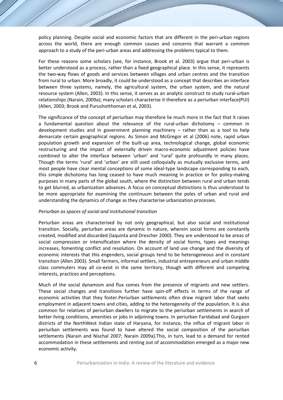policy planning. Despite social and economic factors that are different in the peri-urban regions across the world, there are enough common causes and concerns that warrant a common approach to a study of the peri-urban areas and addressing the problems typical to them.

For these reasons some scholars (see, for instance, Brook et al. 2003) argue that peri-urban is better understood as a process, rather than a fixed geographical place. In this sense, it represents the two-way flows of goods and services between villages and urban centres and the transition from rural to urban. More broadly, it could be understood as a concept that describes an interface between three systems, namely, the agricultural system, the urban system, and the natural resource system (Allen, 2003). In this sense, it serves as an analytic construct to study rural-urban relationships (Narain, 2009a); many scholars characterise it therefore as a periurban interface(PUI) (Allen, 2003; Brook and Purushotthoman et al, 2003).

The significance of the concept of periurban may therefore lie much more in the fact that it raises a fundamental question about the relevance of the rural-urban dichotomy – common in development studies and in government planning machinery – rather than as a tool to help demarcate certain geographical regions. As Simon and McGregor et al (2006) note, rapid urban population growth and expansion of the built-up area, technological change, global economic restructuring and the impact of externally driven macro-economic adjustment policies have combined to alter the interface between 'urban' and 'rural' quite profoundly in many places. Though the terms 'rural' and 'urban' are still used colloquially as mutually exclusive terms, and most people have clear mental conceptions of some ideal-type landscape corresponding to each, this simple dichotomy has long ceased to have much meaning in practice or for policy-making purposes in many parts of the global south, where the distinction between rural and urban tends to get blurred, as urbanization advances. A focus on conceptual distinctions is thus understood to be more appropriate for examining the continuum between the poles of urban and rural and understanding the dynamics of change as they characterise urbanization processes.

#### *Periurban as spaces of social and institutional transition*

Periurban areas are characterised by not only geographical, but also social and institutional transition. Socially, periurban areas are dynamic in nature, wherein social forms are constantly created, modified and discarded (Iaquinta and Drescher 2000). They are understood to be areas of social compression or intensification where the density of social forms, types and meanings increases, fomenting conflict and resolution. On account of land use change and the diversity of economic interests that this engenders, social groups tend to be heterogeneous and in constant transition (Allen 2003). Small farmers, informal settlers, industrial entrepreneurs and urban middle class commuters may all co-exist in the same territory, though with different and competing interests, practices and perceptions.

Much of the social dynamism and flux comes from the presence of migrants and new settlers. These social changes and transitions further have spin-off effects in terms of the range of economic activities that they foster.Periurban settlements often draw migrant labor that seeks employment in adjacent towns and cities, adding to the heterogeneity of the population. It is also common for relatives of periurban dwellers to migrate to the periurban settlements in search of better living conditions, amenities or jobs in adjoining towns. In periurban Faridabad and Gurgaon districts of the NorthWest Indian state of Haryana, for instance, the influx of migrant labor in periurban settlements was found to have altered the social composition of the periurban settlements (Narain and Nischal 2007; Narain 2009a).This, in turn, lead to a demand for rented accommodation in these settlements and renting out of accommodation emerged as a major new economic activity.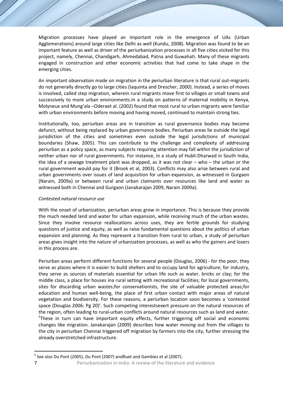Migration processes have played an important role in the emergence of UAs (Urban Agglomerations) around large cities like Delhi as well (Kundu, 2008). Migration was found to be an important feature as well as driver of the periurbanization processes in all five cities visited for this project, namely, Chennai, Chandigarh, Ahmedabad, Patna and Guwahati. Many of these migrants engaged in construction and other economic activities that had come to take shape in the emerging cities.

An important observation made on migration in the periurban literature is that rural out-migrants do not generally directly go to large cities (Iaquinta and Drescher, 2000). Instead, a series of moves is involved, called step migration, wherein rural migrants move first to villages or small towns and successively to more urban environments.In a study on patterns of maternal mobility in Kenya, Molyneux and Mung'ala –Oderaet al. (2002) found that most rural to urban migrants were familiar with urban environments before moving and having moved, continued to maintain strong ties.

Institutionally, too, periurban areas are in transition as rural governance bodies may become defunct, without being replaced by urban governance bodies. Periurban areas lie outside the legal jurisdiction of the cities and sometimes even outside the legal jurisdictions of municipal boundaries (Shaw, 2005). This can contribute to the challenge and complexity of addressing periurban as a policy space, as many subjects requiring attention may fall within the jurisdiction of neither urban nor of rural governments. For instance, in a study of Hubli-Dharwad in South India, the idea of a sewage treatment plant was dropped, as it was not clear – who – the urban or the rural government would pay for it (Brook et al, 2003). Conflicts may also arise between rural and urban governments over issues of land acquisition for urban expansion, as witnessed in Gurgaon (Narain, 2009a) or between rural and urban claimants over resources like land and water as witnessed both in Chennai and Gurgaon (Janakarajan 2009, Narain 2009a).

# *Contested natural resource use*

With the onset of urbanization, periurban areas grow in importance. This is because they provide the much needed land and water for urban expansion, while receiving much of the urban wastes. Since they involve resource reallocations across uses, they are fertile grounds for studying questions of justice and equity, as well as raise fundamental questions about the politics of urban expansion and planning. As they represent a transition from rural to urban, a study of periurban areas gives insight into the nature of urbanization processes, as well as who the gainers and losers in this process are.

Periurban areas perform different functions for several people (Douglas, 2006) - for the poor, they serve as places where it is easier to build shelters and to occupy land for agriculture; for industry, they serve as sources of materials essential for urban life such as water, bricks or clay; for the middle class, a place for houses ina rural setting with recreational facilities; for local governments, sites for discarding urban wastes;for conservationists, the site of valuable protected areas;for education and human well-being, the place of first urban contact with major areas of natural vegetation and biodiversity. For these reasons, a periurban location soon becomes a 'contested space (Douglas 2006: Pg 20)'. Such competing interestsexert pressure on the natural resources of the region, often leading to rural-urban conflicts around natural resources such as land and water. <sup>5</sup>These in turn can have important equity effects, further triggering off social and economic changes like migration. Janakarajan (2009) describes how water moving out from the villages to the city in periurban Chennai triggered off migration by farmers into the city, further stressing the already overstretched infrastructure.

<sup>&</sup>lt;sup>5</sup> See also Du Pont (2005), Du Pont (2007) andRuet and Gambiez et al (2007).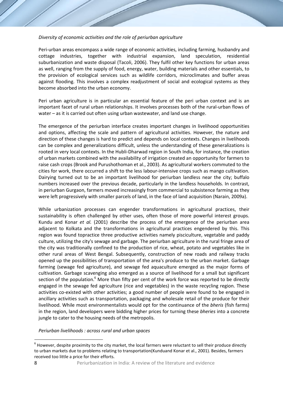# *Diversity of economic activities and the role of periurban agriculture*

Peri-urban areas encompass a wide range of economic activities, including farming, husbandry and cottage industries, together with industrial expansion, land speculation, residential suburbanization and waste disposal (Tacoli, 2006). They fulfil other key functions for urban areas as well, ranging from the supply of food, energy, water, building materials and other essentials, to the provision of ecological services such as wildlife corridors, microclimates and buffer areas against flooding. This involves a complex readjustment of social and ecological systems as they become absorbed into the urban economy.

Peri urban agriculture is in particular an essential feature of the peri urban context and is an important facet of rural urban relationships. It involves processes both of the rural-urban flows of water – as it is carried out often using urban wastewater, and land use change.

The emergence of the periurban interface creates important changes in livelihood opportunities and options, affecting the scale and pattern of agricultural activities. However, the nature and direction of these changes is hard to predict and depends on local contexts. Changes in livelihoods can be complex and generalizations difficult, unless the understanding of these generalizations is rooted in very local contexts. In the Hubli-Dharwad region in South India, for instance, the creation of urban markets combined with the availability of irrigation created an opportunity for farmers to raise cash crops (Brook and Purushothoman et al., 2003). As agricultural workers commuted to the cities for work, there occurred a shift to the less labour-intensive crops such as mango cultivation. Dairying turned out to be an important livelihood for periurban landless near the city; buffalo numbers increased over the previous decade, particularly in the landless households. In contrast, in periurban Gurgaon, farmers moved increasingly from commercial to subsistence farming as they were left progressively with smaller parcels of land, in the face of land acquisition (Narain, 2009a).

While urbanization processes can engender transformations in agricultural practices, their sustainability is often challenged by other uses, often those of more powerful interest groups. Kundu and Konar *et al.* (2001) describe the process of the emergence of the periurban area adjacent to Kolkata and the transformations in agricultural practices engendered by this. This region was found topractice three productive activities namely pisciculture, vegetable and paddy culture, utilizing the city's sewage and garbage. The periurban agriculture in the rural fringe area of the city was traditionally confined to the production of rice, wheat, potato and vegetables like in other rural areas of West Bengal. Subsequently, construction of new roads and railway tracks opened up the possibilities of transportation of the area's produce to the urban market. Garbage farming (sewage fed agriculture), and sewage fed aquaculture emerged as the major forms of cultivation. Garbage scavenging also emerged as a source of livelihood for a small but significant section of the population.<sup>6</sup> More than fifty per cent of the work force was reported to be directly engaged in the sewage fed agriculture (rice and vegetables) in the waste recycling region. These activities co-existed with other activities; a good number of people were found to be engaged in ancillary activities such as transportation, packaging and wholesale retail of the produce for their livelihood. While most environmentalists would opt for the continuance of the *bheris* (fish farms) in the region, land developers were bidding higher prices for turning these *bheries* into a concrete jungle to cater to the housing needs of the metropolis.

*Periurban livelihoods : across rural and urban spaces*

 $6$  However, despite proximity to the city market, the local farmers were reluctant to sell their produce directly to urban markets due to problems relating to transportation(Kunduand Konar et al., 2001). Besides, farmers received too little a price for their efforts.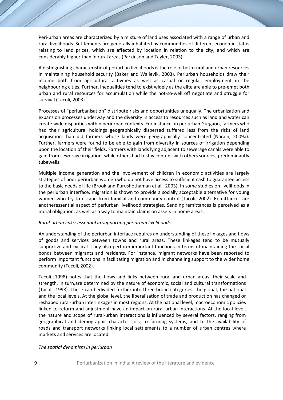Peri-urban areas are characterized by a mixture of land uses associated with a range of urban and rural livelihoods. Settlements are generally inhabited by communities of different economic status relating to land prices, which are affected by location in relation to the city, and which are considerably higher than in rural areas (Parkinson and Tayler, 2003).

A distinguishing characteristic of periurban livelihoods is the role of both rural and urban resources in maintaining household security (Baker and Wallevik, 2003). Periurban households draw their income both from agricultural activities as well as casual or regular employment in the neighbouring cities. Further, inequalities tend to exist widely as the elite are able to pre-empt both urban and rural resources for accumulation while the not-so-well off negotiate and struggle for survival (Tacoli, 2003).

Processes of "periurbanisation" distribute risks and opportunities unequally. The urbanization and expansion processes underway and the diversity in access to resources such as land and water can create wide disparities within periurban contexts. For instance, in periurban Gurgaon, farmers who had their agricultural holdings geographically dispersed suffered less from the risks of land acquisition than did farmers whose lands were geographically concentrated (Narain, 2009a). Further, farmers were found to be able to gain from diversity in sources of irrigation depending upon the location of their fields. Farmers with lands lying adjacent to sewerage canals were able to gain from sewerage irrigation, while others had tostay content with others sources, predominantly tubewells.

Multiple income generation and the involvement of children in economic activities are largely strategies of poor periurban women who do not have access to sufficient cash to guarantee access to the basic needs of life (Brook and Purushothaman et al.*,* 2003). In some studies on livelihoods in the periurban interface, migration is shown to provide a socially acceptable alternative for young women who try to escape from familial and community control (Tacoli, 2002). Remittances are anotheressential aspect of periurban livelihood strategies. Sending remittances is perceived as a moral obligation, as well as a way to maintain claims on assets in home areas.

#### *Rural-urban links: essential in supporting periurban livelihoods*

An understanding of the periurban interface requires an understanding of these linkages and flows of goods and services between towns and rural areas. These linkages tend to be mutually supportive and cyclical. They also perform important functions in terms of maintaining the social bonds between migrants and residents. For instance, migrant networks have been reported to perform important functions in facilitating migration and in channeling support to the wider home community (Tacoli, 2002).

Tacoli (1998) notes that the flows and links between rural and urban areas, their scale and strength, in turn,are determined by the nature of economic, social and cultural transformations (Tacoli, 1998). These can bedivided further into three broad categories: the global, the national and the local levels. At the global level, the liberalization of trade and production has changed or reshaped rural-urban interlinkages in most regions. At the national level, macroeconomic policies linked to reform and adjustment have an impact on rural-urban interactions. At the local level, the nature and scope of rural-urban interactions is influenced by several factors, ranging from geographical and demographic characteristics, to farming systems, and to the availability of roads and transport networks linking local settlements to a number of urban centres where markets and services are located.

#### *The spatial dynamism in periurban*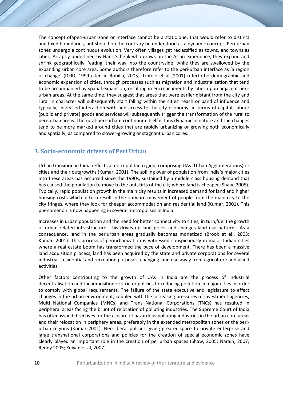The concept ofaperi-urban zone or interface cannot be a static one, that would refer to distinct and fixed boundaries, but should on the contrary be understood as a dynamic concept. Peri-urban zones undergo a continuous evolution. Very often villages get reclassified as towns, and towns as cities. As aptly underlined by Hans Schenk who draws on the Asian experience, they expand and shrink geographically, 'eating' their way into the countryside, while they are swallowed by the expanding urban core area. Some authors therefore refer to the peri-urban interface as 'a region of change' (DFID, 1999 cited in Rohilla, 2005). Lintelo et al (2001) refertothe demographic and economic expansion of cities, through processes such as migration and industrialization that tend to be accompanied by spatial expansion, resulting in encroachments by cities upon adjacent periurban areas. At the same time, they suggest that areas that were earlier distant from the city and rural in character will subsequently start falling within the cities' reach or band of influence and typically, increased interaction with and access to the city economy, in terms of capital, labour (public and private) goods and services will subsequently trigger the transformation of the rural to peri-urban areas. The rural-peri-urban- continuum itself is thus dynamic in nature and the changes tend to be more marked around cities that are rapidly urbanizing or growing both economically and spatially, as compared to slower-growing or stagnant urban cores.

# **3. Socio-economic drivers of Peri Urban**

Urban transition in India reflects a metropolitan region, comprising UAs (Urban Agglomerations) or cities and their outgrowths (Kumar, 2001). The spilling over of population from India's major cities into these areas has occurred since the 1990s, sustained by a middle class housing demand that has caused the population to move to the outskirts of the city where land is cheaper (Shaw, 2005). Typically, rapid population growth in the main city results in increased demand for land and higher housing costs which in turn result in the outward movement of people from the main city to the city fringes, where they look for cheaper accommodation and residential land (Kumar, 2001). This phenomenon is now happening in several metropolises in India.

Increases in urban population and the need for better connectivity to cities, in turn,fuel the growth of urban related infrastructure. This drives up land prices and changes land use patterns. As a consequence, land in the periurban areas gradually becomes monetized (Brook et al., 2003; Kumar, 2001). This process of periurbanization is witnessed conspicuously in major Indian cities where a real estate boom has transformed the pace of development. There has been a massive land acquisition process; land has been acquired by the state and private corporations for several industrial, residential and recreation purposes, changing land use away from agriculture and allied activities.

Other factors contributing to the growth of UAs in India are the process of industrial decentralisation and the imposition of stricter policies forreducing pollution in major cities in order to comply with global requirements. The failure of the state executive and legislature to effect changes in the urban environment, coupled with the increasing pressures of investment agencies, Multi National Companies (MNCs) and Trans National Corporations (TNCs) has resulted in peripheral areas facing the brunt of relocation of polluting industries. The Supreme Court of India has often issued directives for the closure of hazardous polluting industries in the urban core areas and their relocation in periphery areas, preferably in the extended metropolitan zones or the periurban regions (Kumar 2001). Neo-liberal policies giving greater space to private enterprise and large transnational corporations and policies for the creation of special economic zones have clearly played an important role in the creation of periurban spaces (Shaw, 2005; Narain, 2007; Reddy 2005; Keivaniet al, 2007).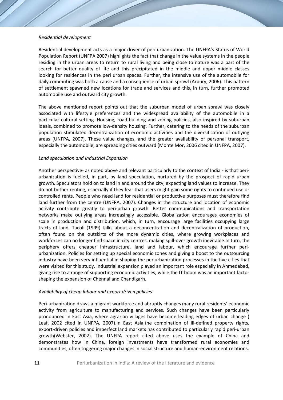## *Residential development*

Residential development acts as a major driver of peri urbanization. The UNFPA's Status of World Population Report (UNFPA 2007) highlights the fact that change in the value systems in the people residing in the urban areas to return to rural living and being close to nature was a part of the search for better quality of life and this precipitated in the middle and upper middle classes looking for residences in the peri urban spaces. Further, the intensive use of the automobile for daily commuting was both a cause and a consequence of urban sprawl (Arbury, 2006). This pattern of settlement spawned new locations for trade and services and this, in turn, further promoted automobile use and outward city growth.

The above mentioned report points out that the suburban model of urban sprawl was closely associated with lifestyle preferences and the widespread availability of the automobile in a particular cultural setting. Housing, road-building and zoning policies, also inspired by suburban ideals, combined to promote low-density housing. Further, catering to the needs of the suburban population stimulated decentralization of economic activities and the diversification of outlying areas (UNFPA, 2007). These value changes, and the greater availability of personal transport, especially the automobile, are spreading cities outward (Monte Mor, 2006 cited in UNFPA, 2007).

# *Land speculation and Industrial Expansion*

Another perspective- as noted above and relevant particularly to the context of India - is that periurbanization is fuelled, in part, by land speculation, nurtured by the prospect of rapid urban growth. Speculators hold on to land in and around the city, expecting land values to increase. They do not bother renting, especially if they fear that users might gain some rights to continued use or controlled rents. People who need land for residential or productive purposes must therefore find land further from the centre (UNFPA, 2007). Changes in the structure and location of economic activity contribute greatly to peri-urban growth. Better communications and transportation networks make outlying areas increasingly accessible. Globalization encourages economies of scale in production and distribution, which, in turn, encourage large facilities occupying large tracts of land. Tacoli (1999) talks about a deconcentration and decentralization of production, often found on the outskirts of the more dynamic cities, where growing workplaces and workforces can no longer find space in city centres, making spill-over growth inevitable.In turn, the periphery offers cheaper infrastructure, land and labour, which encourage further periurbanization. Policies for setting up special economic zones and giving a boost to the outsourcing industry have been very influential in shaping the periurbanization processes in the five cities that were visited for this study. Industrial expansion played an important role especially in Ahmedabad, giving rise to a range of supporting economic activities, while the IT boom was an important factor shaping the expansion of Chennai and Chandigarh.

# *Availability of cheap labour and export driven policies*

Peri-urbanization draws a migrant workforce and abruptly changes many rural residents' economic activity from agriculture to manufacturing and services. Such changes have been particularly pronounced in East Asia, where agrarian villages have become leading edges of urban change ( Leaf, 2002 cited in UNFPA, 2007).In East Asia,the combination of ill-defined property rights, export-driven policies and imperfect land markets has contributed to particularly rapid peri-urban growth(Webster, 2002). The UNFPA report cited above uses the example of China and demonstrates how in China, foreign investments have transformed rural economies and communities, often triggering major changes in social structure and human-environment relations.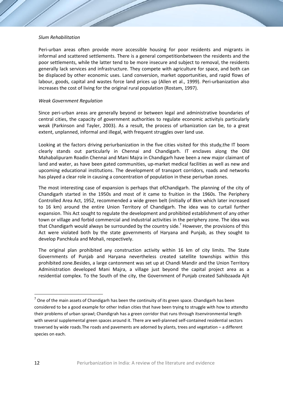#### *Slum Rehabilitation*

Peri-urban areas often provide more accessible housing for poor residents and migrants in informal and scattered settlements. There is a general competitionbetween the residents and the poor settlements, while the latter tend to be more insecure and subject to removal, the residents generally lack services and infrastructure. They compete with agriculture for space, and both can be displaced by other economic uses. Land conversion, market opportunities, and rapid flows of labour, goods, capital and wastes force land prices up (Allen et al., 1999). Peri-urbanization also increases the cost of living for the original rural population (Rostam, 1997).

#### *Weak Government Regulation*

Since peri-urban areas are generally beyond or between legal and administrative boundaries of central cities, the capacity of government authorities to regulate economic activityis particularly weak (Parkinson and Tayler, 2003). As a result, the process of urbanization can be, to a great extent, unplanned, informal and illegal, with frequent struggles over land use.

Looking at the factors driving periurbanization in the five cities visited for this study,the IT boom clearly stands out particularly in Chennai and Chandigarh. IT enclaves along the Old Mahabalipuram Roadin Chennai and Mani Majra in Chandigarh have been a new major claimant of land and water, as have been gated communities, up-market medical facilities as well as new and upcoming educational institutions. The development of transport corridors, roads and networks has played a clear role in causing a concentration of population in these periurban zones.

The most interesting case of expansion is perhaps that ofChandigarh. The planning of the city of Chandigarh started in the 1950s and most of it came to fruition in the 1960s. The Periphery Controlled Area Act, 1952, recommended a wide green belt (initially of 8km which later increased to 16 km) around the entire Union Territory of Chandigarh. The idea was to curtail further expansion. This Act sought to regulate the development and prohibited establishment of any other town or village and forbid commercial and industrial activities in the periphery zone. The idea was that Chandigarh would always be surrounded by the country side.<sup>7</sup> However, the provisions of this Act were violated both by the state governments of Haryana and Punjab, as they sought to develop Panchkula and Mohali, respectively.

The original plan prohibited any construction activity within 16 km of city limits. The State Governments of Punjab and Haryana nevertheless created satellite townships within this prohibited zone.Besides, a large cantonment was set up at Chandi Mandir and the Union Territory Administration developed Mani Majra, a village just beyond the capital project area as a residential complex. To the South of the city, the Government of Punjab created Sahibzaada Ajit

 $7$  One of the main assets of Chandigarh has been the continuity of its green space. Chandigarh has been considered to be a good example for other Indian cities that have been trying to struggle with how to attendto their problems of urban sprawl; Chandigrah has a green corridor that runs through itsenvironmental length with several supplemental green spaces around it. There are well-planned self-contained residential sectors traversed by wide roads.The roads and pavements are adorned by plants, trees and vegetation – a different species on each.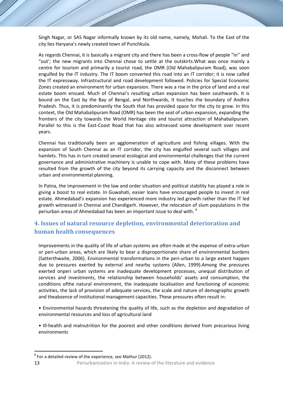Singh Nagar, or SAS Nagar informally known by its old name, namely, Mohali. To the East of the city lies Haryana's newly created town of Punchkula.

As regards Chennai, it is basically a migrant city and there has been a cross-flow of people "in'' and "out'; the new migrants into Chennai chose to settle at the outskirts.What was once mainly a centre for tourism and primarily a tourist road, the OMR (Old Mahabalipuram Road), was soon engulfed by the IT industry. The IT boom converted this road into an IT corridor; it is now called the IT expressway. Infrastructural and road development followed. Policies for Special Economic Zones created an environment for urban expansion. There was a rise in the price of land and a real estate boom ensued. Much of Chennai's resulting urban expansion has been southwards. It is bound on the East by the Bay of Bengal, and Northwards, it touches the boundary of Andhra Pradesh. Thus, it is predominantly the South that has provided space for the city to grow. In this context, the Old Mahabalipuram Road (OMR) has been the seat of urban expansion, expanding the frontiers of the city towards the World Heritage site and tourist attraction of Mahabalipuram. Parallel to this is the East-Coast Road that has also witnessed some development over recent years.

Chennai has traditionally been an agglomeration of agriculture and fishing villages. With the expansion of South Chennai as an IT corridor, the city has engulfed several such villages and hamlets. This has in turn created several ecological and environmental challenges that the current governance and administrative machinery is unable to cope with. Many of these problems have resulted from the growth of the city beyond its carrying capacity and the disconnect between urban and environmental planning.

In Patna, the improvement in the law and order situation and political stability has played a role in giving a boost to real estate. In Guwahati, easier loans have encouraged people to invest in real estate. Ahmedabad's expansion has experienced more industry led growth rather than the IT led growth witnessed in Chennai and Chandigarh. However, the relocation of slum populations in the periurban areas of Ahmedabad has been an important issue to deal with. <sup>8</sup>

# **4. Issues of natural resource depletion, environmental deterioration and human health consequences**

Improvements in the quality of life of urban systems are often made at the expense of extra-urban or peri-urban areas, which are likely to bear a disproportionate share of environmental burdens (Satterthwaite, 2006). Environmental transformations in the peri-urban to a large extent happen due to pressures exerted by external and nearby systems (Allen, 1999).Among the pressures exerted onperi urban systems are inadequate development processes, unequal distribution of services and investments, the relationship between households' assets and consumption, the conditions ofthe natural environment, the inadequate localisation and functioning of economic activities, the lack of provision of adequate services, the scale and nature of demographic growth and theabsence of institutional management capacities. These pressures often result in:

• Environmental hazards threatening the quality of life, such as the depletion and degradation of environmental resources and loss of agricultural land

• Ill-health and malnutrition for the poorest and other conditions derived from precarious living environments

 $8$  For a detailed review of the experience, see Mathur (2012).

<sup>13</sup> Periurbanization in India: A review of the literature and evidence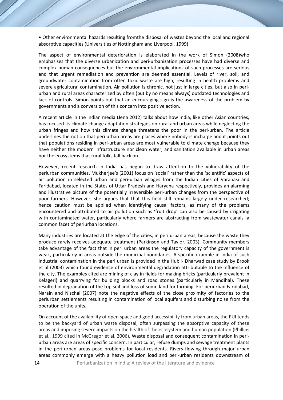• Other environmental hazards resulting fromthe disposal of wastes beyond the local and regional absorptive capacities (Universities of Nottingham and Liverpool, 1999)

The aspect of environmental deterioration is elaborated in the work of Simon (2008)who emphasises that the diverse urbanization and peri-urbanization processes have had diverse and complex human consequences but the environmental implications of such processes are serious and that urgent remediation and prevention are deemed essential. Levels of river, soil, and groundwater contamination from often toxic waste are high, resulting in health problems and severe agricultural contamination. Air pollution is chronic, not just in large cities, but also in periurban and rural areas characterized by often (but by no means always) outdated technologies and lack of controls. Simon points out that an encouraging sign is the awareness of the problem by governments and a conversion of this concern into positive action.

A recent article in the Indian media (Jena 2012) talks about how India, like other Asian countries, has focused its climate change adaptation strategies on rural and urban areas while neglecting the urban fringes and how this climate change threatens the poor in the peri-urban. The article underlines the notion that peri urban areas are places where nobody is incharge and it points out that populations residing in peri-urban areas are most vulnerable to climate change because they have neither the modern infrastructure nor clean water, and sanitation available in urban areas nor the ecosystems that rural folks fall back on.

However, recent research in India has begun to draw attention to the vulnerability of the periurban communities. Mukherjee's (2001) focus on 'social' rather than the 'scientific' aspects of air pollution in selected urban and peri-urban villages from the Indian cities of Varanasi and Faridabad, located in the States of Uttar Pradesh and Haryana respectively, provides an alarming and illustrative picture of the potentially irreversible peri-urban changes from the perspective of poor farmers. However, she argues that that this field still remains largely under researched; hence caution must be applied when identifying causal factors, as many of the problems encountered and attributed to air pollution such as 'fruit drop' can also be caused by irrigating with contaminated water, particularly where farmers are abstracting from wastewater canals -a common facet of periurban locations.

Many industries are located at the edge of the cities, in peri urban areas, because the waste they produce rarely receives adequate treatment (Parkinson and Taylor, 2003). Community members take advantage of the fact that in peri urban areas the regulatory capacity of the government is weak, particularly in areas outside the municipal boundaries. A specific example in India of such industrial contamination in the peri urban is provided in the Hubli- Dharwad case study by Brook et al (2003) which found evidence of environmental degradation attributable to the influence of the city. The examples cited are mining of clay in fields for making bricks (particularly prevalent in Kelageri) and quarrying for building blocks and road stones (particularly in Mandihal). These resulted in degradation of the top soil and loss of some land for farming. For periurban Faridabad, Narain and Nischal (2007) note the negative effects of the close proximity of factories to the periurban settlements resulting in contamination of local aquifers and disturbing noise from the operation of the units.

On account of the availability of open space and good accessibility from urban areas, the PUI tends to be the backyard of urban waste disposal, often surpassing the absorptive capacity of these areas and imposing severe impacts on the health of the ecosystem and human population (Phillips et al., 1999 cited in McGregor et al, 2006). Waste disposal and consequent contamination in periurban areas are areas of specific concern. In particular, refuse dumps and sewage treatment plants in the peri-urban areas pose problems for local residents. Rivers flowing through major urban areas commonly emerge with a heavy pollution load and peri-urban residents downstream of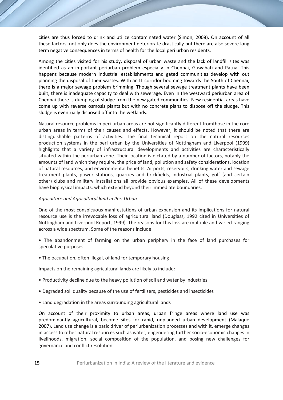cities are thus forced to drink and utilize contaminated water (Simon, 2008). On account of all these factors, not only does the environment deteriorate drastically but there are also severe long term negative consequences in terms of health for the local peri urban residents.

Among the cities visited for his study, disposal of urban waste and the lack of landfill sites was identified as an important periurban problem especially in Chennai, Guwahati and Patna. This happens because modern industrial establishments and gated communities develop with out planning the disposal of their wastes. With an IT corridor booming towards the South of Chennai, there is a major sewage problem brimming. Though several sewage treatment plants have been built, there is inadequate capacity to deal with sewerage. Even in the westward periurban area of Chennai there is dumping of sludge from the new gated communities. New residential areas have come up with reverse osmosis plants but with no concrete plans to dispose off the sludge. This sludge is eventually disposed off into the wetlands.

Natural resource problems in peri-urban areas are not significantly different fromthose in the core urban areas in terms of their causes and effects. However, it should be noted that there are distinguishable patterns of activities. The final technical report on the natural resources production systems in the peri urban by the Universities of Nottingham and Liverpool (1999) highlights that a variety of infrastructural developments and activities are characteristically situated within the periurban zone. Their location is dictated by a number of factors, notably the amounts of land which they require, the price of land, pollution and safety considerations, location of natural resources, and environmental benefits. Airports, reservoirs, drinking water and sewage treatment plants, power stations, quarries and brickfields, industrial plants, golf (and certain other) clubs and military installations all provide obvious examples. All of these developments have biophysical impacts, which extend beyond their immediate boundaries.

## *Agriculture and Agricultural land in Peri Urban*

One of the most conspicuous manifestations of urban expansion and its implications for natural resource use is the irrevocable loss of agricultural land (Douglass, 1992 cited in Universities of Nottingham and Liverpool Report, 1999). The reasons for this loss are multiple and varied ranging across a wide spectrum. Some of the reasons include:

- The abandonment of farming on the urban periphery in the face of land purchases for speculative purposes
- The occupation, often illegal, of land for temporary housing

Impacts on the remaining agricultural lands are likely to include:

- Productivity decline due to the heavy pollution of soil and water by industries
- Degraded soil quality because of the use of fertilisers, pesticides and insecticides
- Land degradation in the areas surrounding agricultural lands

On account of their proximity to urban areas, urban fringe areas where land use was predominantly agricultural, become sites for rapid, unplanned urban development (Malaque 2007). Land use change is a basic driver of periurbanization processes and with it, emerge changes in access to other natural resources such as water, engendering further socio-economic changes in livelihoods, migration, social composition of the population, and posing new challenges for governance and conflict resolution.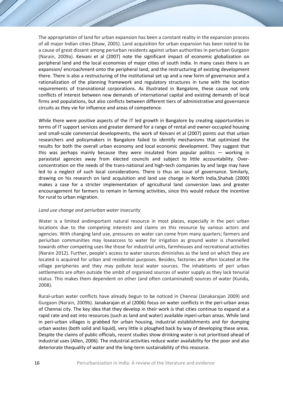The appropriation of land for urban expansion has been a constant reality in the expansion process of all major Indian cities (Shaw, 2005). Land acquisition for urban expansion has been noted to be a cause of great dissent among periurban residents against urban authorities in periurban Gurgaon (Narain, 2009a). Keivani et al (2007) note the significant impact of economic globalization on peripheral land and the local economies of major cities of south India. In many cases there is an expansion/ encroachment onto the peripheral land, and the restructuring of existing development there. There is also a restructuring of the institutional set up and a new form of governance and a rationalization of the planning framework and regulatory structures in tune with the location requirements of transnational corporations. As illustrated in Bangalore, these cause not only conflicts of interest between new demands of international capital and existing demands of local firms and populations, but also conflicts between different tiers of administrative and governance circuits as they vie for influence and areas of competence.

While there were positive aspects of the IT led growth in Bangalore by creating opportunities in terms of IT support services and greater demand for a range of rental and owner-occupied housing and small-scale commercial developments, the work of Keivani et al (2007) points out that urban researchers and policymakers in Bangalore failed to identify mechanisms that optimized the results for both the overall urban economy and local economic development. They suggest that this was perhaps mainly because they were insulated from popular politics  $-$  working in parastatal agencies away from elected councils and subject to little accountability. Overconcentration on the needs of the trans-national and high-tech companies by and large may have led to a neglect of such local considerations. There is thus an issue of governance. Similarly, drawing on his research on land acquisition and land use change in North India,Shahab (2000) makes a case for a stricter implementation of agricultural land conversion laws and greater encouragement for farmers to remain in farming activities, since this would reduce the incentive for rural to urban migration.

#### *Land use change and periurban water insecurity*

Water is a limited andimportant natural resource in most places, especially in the peri urban locations due to the competing interests and claims on this resource by various actors and agencies. With changing land use, pressures on water can come from many quarters; farmers and periurban communities may loseaccess to water for irrigation as ground water is channelled towards other competing uses like those for industrial units, farmhouses and recreational activities (Narain 2012). Further, people's access to water sources diminishes as the land on which they are located is acquired for urban and residential purposes. Besides, factories are often located at the village peripheries and they may pollute local water sources. The inhabitants of peri urban settlements are often outside the ambit of organised sources of water supply as they lack tenurial status. This makes them dependent on other (and often contaminated) sources of water (Kundu, 2008).

Rural-urban water conflicts have already begun to be noticed in Chennai (Janakarajan 2009) and Gurgaon (Narain, 2009b). Janakarajan et al (2006) focus on water conflicts in the peri-urban areas of Chennai city. The key idea that they develop in their work is that cities continue to expand at a rapid rate and eat into resources (such as land and water) available inperi-urban areas. While land in peri-urban villages is grabbed for urban housing, industrial establishments and for dumping urban wastes (both solid and liquid), very little is ploughed back by way of developing these areas. Despite the claims of public officials, recent studies show drinking water is not prioritised ahead of industrial uses (Allen, 2006). The industrial activities reduce water availability for the poor and also deteriorate thequality of water and the long-term sustainability of this resource.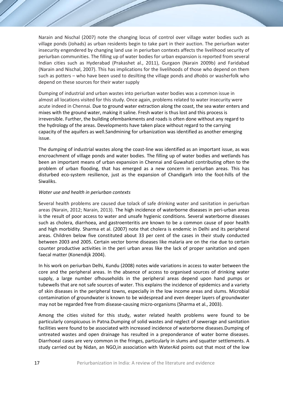Narain and Nischal (2007) note the changing locus of control over village water bodies such as village ponds (Johads) as urban residents begin to take part in their auction. The periurban water insecurity engendered by changing land use in periurban contexts affects the livelihood security of periurban communities. The filling up of water bodies for urban expansion is reported from several Indian cities such as Hyderabad (Prakashet al., 2011), Gurgaon (Narain 2009b) and Faridabad (Narain and Nischal, 2007). This has implications for the livelihoods of those who depend on them such as potters – who have been used to desilting the village ponds and *dhobis* or washerfolk who depend on these sources for their water supply

Dumping of industrial and urban wastes into periurban water bodies was a common issue in almost all locations visited for this study. Once again, problems related to water insecurity were acute indeed in Chennai. Due to ground water extraction along the coast, the sea water enters and mixes with the ground water, making it saline. Fresh water is thus lost and this process is irreversible. Further, the building ofembankments and roads is often done without any regard to the hydrology of the areas. Developments have taken place without regard to the carrying capacity of the aquifers as well.Sandmining for urbanization was identified as another emerging issue.

The dumping of industrial wastes along the coast-line was identified as an important issue, as was encroachment of village ponds and water bodies. The filling up of water bodies and wetlands has been an important means of urban expansion in Chennai and Guwahati contributing often to the problem of urban flooding, that has emerged as a new concern in periurban areas. This has disturbed eco-system resilience, just as the expansion of Chandigarh into the foot-hills of the Siwaliks.

# *Water use and health in periurban contexts*

Several health problems are caused due tolack of safe drinking water and sanitation in periurban areas (Narain, 2012; Narain, 2013). The high incidence of waterborne diseases in peri-urban areas is the result of poor access to water and unsafe hygienic conditions. Several waterborne diseases such as cholera, diarrhoea, and gastroenteritis are known to be a common cause of poor health and high morbidity. Sharma et al. (2007) note that cholera is endemic in Delhi and its peripheral areas. Children below five constituted about 33 per cent of the cases in their study conducted between 2003 and 2005. Certain vector borne diseases like malaria are on the rise due to certain counter productive activities in the peri urban areas like the lack of proper sanitation and open faecal matter (Konendijk 2004).

In his work on periurban Delhi, Kundu (2008) notes wide variations in access to water between the core and the peripheral areas. In the absence of access to organised sources of drinking water supply, a large number ofhouseholds in the peripheral areas depend upon hand pumps or tubewells that are not safe sources of water. This explains the incidence of epidemics and a variety of skin diseases in the peripheral towns, especially in the low income areas and slums. Microbial contamination of groundwater is known to be widespread and even deeper layers of groundwater may not be regarded free from disease-causing micro-organisms (Sharma et al*.*, 2003).

Among the cities visited for this study, water related health problems were found to be particularly conspicuous in Patna.Dumping of solid wastes and neglect of sewerage and sanitation facilities were found to be associated with increased incidence of waterborne diseases.Dumping of untreated wastes and open drainage has resulted in a preponderance of water borne diseases. Diarrhoeal cases are very common in the fringes, particularly in slums and squatter settlements. A study carried out by Nidan, an NGO,in association with WaterAid points out that most of the low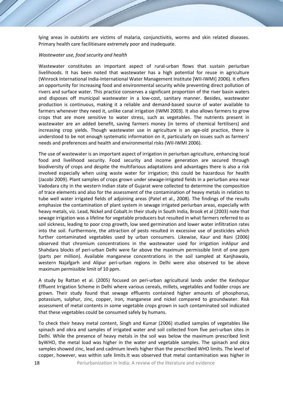lying areas in outskirts are victims of malaria, conjunctivitis, worms and skin related diseases. Primary health care facilitiesare extremely poor and inadequate.

#### *Wastewater use, food security and health*

Wastewater constitutes an important aspect of rural-urban flows that sustain periurban livelihoods. It has been noted that wastewater has a high potential for reuse in agriculture (Winrock International India-International Water Management Institute [WII-IWMI] 2006). It offers an opportunity for increasing food and environmental security while preventing direct pollution of rivers and surface water. This practice conserves a significant proportion of the river basin waters and disposes off municipal wastewater in a low-cost, sanitary manner. Besides, wastewater production is continuous, making it a reliable and demand-based source of water available to farmers whenever they need it, unlike canal irrigation (IWMI 2003). It also allows farmers to grow crops that are more sensitive to water stress, such as vegetables. The nutrients present in wastewater are an added benefit, saving farmers money (in terms of chemical fertilisers) and increasing crop yields. Though wastewater use in agriculture is an age-old practice, there is understood to be not enough systematic information on it, particularly on issues such as farmers' needs and preferences and health and environmental risks (WII-IWMI 2006).

The use of wastewater is an important aspect of irrigation in periurban agriculture, enhancing local food and livelihood security. Food security and income generation are secured through biodiversity of crops and despite the multifarious adaptations and advantages there is also a risk involved especially when using waste water for irrigation; this could be hazardous for health (Jacobi 2009). Plant samples of crops grown under sewage-irrigated fields in a periurban area near Vadodara city in the western Indian state of Gujarat were collected to determine the composition of trace elements and also for the assessment of the contamination of heavy metals in relation to tube well water irrigated fields of adjoining areas (Patel et al., 2008). The findings of the results emphasize the contamination of plant system in sewage irrigated periurban areas, especially with heavy metals, viz. Lead, Nickel and Cobalt.In their study in South India, Brook et al (2003) note that sewage irrigation was a lifeline for vegetable producers but resulted in what farmers referred to as soil sickness, leading to poor crop growth, low seed germination and lower water infiltration rates into the soil. Furthermore, the attraction of pests resulted in excessive use of pesticides which further contaminated vegetables used by urban consumers. Likewise, Kaur and Rani (2006) observed that chromium concentrations in the wastewater used for irrigation inAlipur and Shahdara blocks of peri-urban Delhi were far above the maximum permissible limit of one ppm (parts per million). Available manganese concentrations in the soil sampled at Kanjhawala, western Najafgarh and Alipur peri-urban regions in Delhi were also observed to be above maximum permissible limit of 10 ppm.

A study by Rattan et al*.* (2005) focused on peri-urban agricultural lands under the Keshopur Effluent Irrigation Scheme in Delhi where various cereals, millets, vegetables and fodder crops are grown. Their study found that sewage effluents contained higher amounts of phosphorus, potassium, sulphur, zinc, copper, iron, manganese and nickel compared to groundwater. Risk assessment of metal contents in some vegetable crops grown in such contaminated soil indicated that these vegetables could be consumed safely by humans.

To check their heavy metal content, Singh and Kumar (2006) studied samples of vegetables like spinach and okra and samples of irrigated water and soil collected from five peri-urban sites in Delhi. While the presence of heavy metals in the soil was below the maximum prescribed limit byWHO, the metal load was higher in the water and vegetable samples. The spinach and okra samples showed zinc, lead and cadmium levels higher than the prescribed WHO limits. The level of copper, however, was within safe limits.It was observed that metal contamination was higher in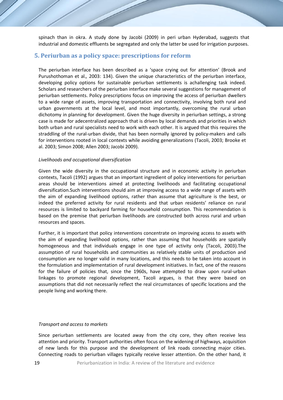spinach than in okra. A study done by Jacobi (2009) in peri urban Hyderabad, suggests that industrial and domestic effluents be segregated and only the latter be used for irrigation purposes.

# **5. Periurban as a policy space: prescriptions for reform**

The periurban interface has been described as a 'space crying out for attention' (Brook and Purushothoman et al.*,* 2003: 134). Given the unique characteristics of the periurban interface, developing policy options for sustainable periurban settlements is achallenging task indeed. Scholars and researchers of the periurban interface make several suggestions for management of periurban settlements. Policy prescriptions focus on improving the access of periurban dwellers to a wide range of assets, improving transportation and connectivity, involving both rural and urban governments at the local level, and most importantly, overcoming the rural urban dichotomy in planning for development. Given the huge diversity in periurban settings, a strong case is made for adecentralized approach that is driven by local demands and priorities in which both urban and rural specialists need to work with each other. It is argued that this requires the straddling of the rural-urban divide, that has been normally ignored by policy-makers and calls for interventions rooted in local contexts while avoiding generalizations (Tacoli, 2003; Brooke et al. 2003; Simon 2008; Allen 2003; Jacobi 2009).

#### *Livelihoods and occupational diversification*

Given the wide diversity in the occupational structure and in economic activity in periurban contexts, Tacoli (1992) argues that an important ingredient of policy interventions for periurban areas should be interventions aimed at protecting livelihoods and facilitating occupational diversification.Such interventions should aim at improving access to a wide range of assets with the aim of expanding livelihood options, rather than assume that agriculture is the best, or indeed the preferred activity for rural residents and that urban residents' reliance on rural resources is limited to backyard farming for household consumption. This recommendation is based on the premise that periurban livelihoods are constructed both across rural and urban resources and spaces.

Further, it is important that policy interventions concentrate on improving access to assets with the aim of expanding livelihood options, rather than assuming that households are spatially homogeneous and that individuals engage in one type of activity only (Tacoli, 2003).The assumption of rural households and communities as relatively stable units of production and consumption are no longer valid in many locations, and this needs to be taken into account in the formulation and implementation of rural development initiatives. In fact, one of the reasons for the failure of policies that, since the 1960s, have attempted to draw upon rural-urban linkages to promote regional development, Tacoli argues, is that they were based on assumptions that did not necessarily reflect the real circumstances of specific locations and the people living and working there.

#### *Transport and access to markets*

Since periurban settlements are located away from the city core, they often receive less attention and priority. Transport authorities often focus on the widening of highways, acquisition of new lands for this purpose and the development of link roads connecting major cities. Connecting roads to periurban villages typically receive lesser attention. On the other hand, it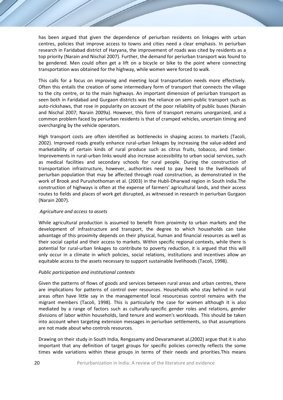has been argued that given the dependence of periurban residents on linkages with urban centres, policies that improve access to towns and cities need a clear emphasis. In periurban research in Faridabad district of Haryana, the improvement of roads was cited by residents as a top priority (Narain and Nischal 2007). Further, the demand for periurban transport was found to be gendered. Men could often get a lift on a bicycle or bike to the point where connecting transportation was obtained for the highway, while women were forced to walk.

This calls for a focus on improving and meeting local transportation needs more effectively. Often this entails the creation of some intermediary form of transport that connects the village to the city centre, or to the main highways. An important dimension of periurban transport as seen both in Faridabad and Gurgaon districts was the reliance on semi-public transport such as auto-rickshaws, that rose in popularity on account of the poor reliability of public buses (Narain and Nischal 2007; Narain 2009a). However, this form of transport remains unorganized, and a common problem faced by periurban residents is that of cramped vehicles, uncertain timing and overcharging by the vehicle operators.

High transport costs are often identified as bottlenecks in shaping access to markets (Tacoli, 2002). Improved roads greatly enhance rural-urban linkages by increasing the value-added and marketability of certain kinds of rural produce such as citrus fruits, tobacco, and timber. Improvements in rural-urban links would also increase accessibility to urban social services, such as medical facilities and secondary schools for rural people. During the construction of transportation infrastructure, however, authorities need to pay heed to the livelihoods of periurban population that may be affected through road construction, as demonstrated in the work of Brook and Purushothoman et al. (2003) in the Hubli-Dharwad region in South India.The construction of highways is often at the expense of farmers' agricultural lands, and their access routes to fields and places of work get disrupted, as witnessed in research in periurban Gurgaon (Narain 2007).

# *Agriculture and access to assets*

While agricultural production is assumed to benefit from proximity to urban markets and the development of infrastructure and transport, the degree to which households can take advantage of this proximity depends on their physical, human and financial resources as well as their social capital and their access to markets. Within specific regional contexts, while there is potential for rural-urban linkages to contribute to poverty reduction, it is argued that this will only occur in a climate in which policies, social relations, institutions and incentives allow an equitable access to the assets necessary to support sustainable livelihoods (Tacoli, 1998).

# *Public participation and institutional contexts*

Given the patterns of flows of goods and services between rural areas and urban centres, there are implications for patterns of control over resources. Households who stay behind in rural areas often have little say in the managementof local resourcesas control remains with the migrant members (Tacoli, 1998). This is particularly the case for women although it is also mediated by a range of factors such as culturally-specific gender roles and relations, gender divisions of labor within households, land tenure and women's workloads. This should be taken into account when targeting extension messages in periurban settlements, so that assumptions are not made about who controls resources.

Drawing on their study in South India, Rengasamy and Devaramanet al.(2002) argue that it is also important that any definition of target groups for specific policies correctly reflects the some times wide variations within these groups in terms of their needs and priorities.This means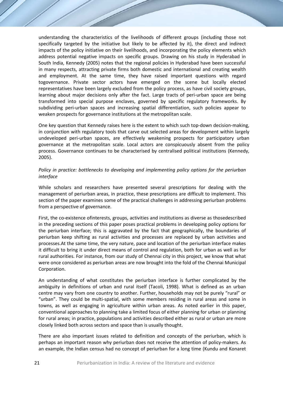understanding the characteristics of the livelihoods of different groups (including those not specifically targeted by the initiative but likely to be affected by it), the direct and indirect impacts of the policy initiative on their livelihoods, and incorporating the policy elements which address potential negative impacts on specific groups. Drawing on his study in Hyderabad in South India, Kennedy (2005) notes that the regional policies in Hyderabad have been successful in many respects, attracting private firms both domestic and international and creating wealth and employment. At the same time, they have raised important questions with regard togovernance. Private sector actors have emerged on the scene but locally elected representatives have been largely excluded from the policy process, as have civil society groups, learning about major decisions only after the fact. Large tracts of peri-urban space are being transformed into special purpose enclaves, governed by specific regulatory frameworks. By subdividing peri-urban spaces and increasing spatial differentiation, such policies appear to weaken prospects for governance institutions at the metropolitan scale.

One key question that Kennedy raises here is the extent to which such top-down decision-making, in conjunction with regulatory tools that carve out selected areas for development within largely undeveloped peri-urban spaces, are effectively weakening prospects for participatory urban governance at the metropolitan scale. Local actors are conspicuously absent from the policy process. Governance continues to be characterised by centralised political institutions (Kennedy, 2005).

# *Policy in practice: bottlenecks to developing and implementing policy options for the periurban interface*

While scholars and researchers have presented several prescriptions for dealing with the management of periurban areas, in practice, these prescriptions are difficult to implement. This section of the paper examines some of the practical challenges in addressing periurban problems from a perspective of governance.

First, the co-existence ofinterests, groups, activities and institutions as diverse as thosedescribed in the preceding sections of this paper poses practical problems in developing policy options for the periurban interface; this is aggravated by the fact that geographically, the boundaries of periurban keep shifting as rural activities and processes are replaced by urban activities and processes.At the same time, the very nature, pace and location of the periurban interface makes it difficult to bring it under direct means of control and regulation, both for urban as well as for rural authorities. For instance, from our study of Chennai city in this project, we know that what were once considered as periurban areas are now brought into the fold of the Chennai Municipal Corporation.

An understanding of what constitutes the periurban interface is further complicated by the ambiguity in definitions of urban and rural itself (Tacoli, 1998). What is defined as an urban centre may vary from one country to another. Further, households may not be purely "rural" or "urban". They could be multi-spatial, with some members residing in rural areas and some in towns, as well as engaging in agriculture within urban areas. As noted earlier in this paper, conventional approaches to planning take a limited focus of either planning for urban or planning for rural areas; in practice, populations and activities described either as rural or urban are more closely linked both across sectors and space than is usually thought.

There are also important issues related to definition and concepts of the periurban, which is perhaps an important reason why periurban does not receive the attention of policy-makers. As an example, the Indian census had no concept of periurban for a long time (Kundu and Konaret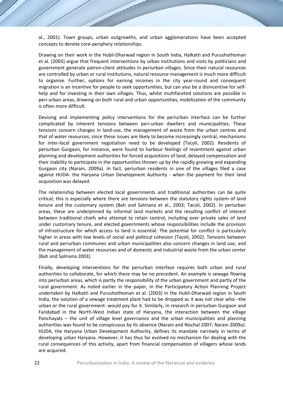al., 2001). Town groups, urban outgrowths, and urban agglomerations have been accepted concepts to denote core-periphery relationships.

Drawing on their work in the Hubli-Dharwad region in South India, Halkatti and Purushothoman et al. (2003) argue that frequent interventions by urban institutions and visits by politicians and government generate patron-client attitudes in periurban villages. Since their natural resources are controlled by urban or rural institutions, natural resource management is much more difficult to organise. Further, options for earning incomes in the city year-round and consequent migration is an incentive for people to seek opportunities, but can also be a disincentive for selfhelp and for investing in their own villages. Thus, whilst multifaceted solutions are possible in peri-urban areas, drawing on both rural and urban opportunities, mobilization of the community is often more difficult.

Devising and implementing policy interventions for the periurban interface can be further complicated by inherent tensions between peri-urban dwellers and municipalities. These tensions concern changes in land-use, the management of waste from the urban centres and that of water resources; since these issues are likely to become increasingly central, mechanisms for inter-local government negotiation need to be developed (Tacoli, 2002). Residents of periurban Gurgaon, for instance, were found to harbour feelings of resentment against urban planning and development authorities for forced acquisitions of land, delayed compensation and their inability to participate in the opportunities thrown up by the rapidly growing and expanding Gurgaon city (Narain, 2009a). In fact, periurban residents in one of the villages filed a case against HUDA- the Haryana Urban Development Authority - when the payment for their land acquisition was delayed.

The relationship between elected local governments and traditional authorities can be quite critical; this is especially where there are tensions between the statutory rights system of land tenure and the customary system (Bah and Salmana et al., 2003; Tacoli, 2002). In periurban areas, these are underpinned by informal land markets and the resulting conflict of interest between traditional chiefs who attempt to retain control, including over private sales of land under customary tenure, and elected governments whose responsibilities include the provision of infrastructure for which access to land is essential. The potential for conflict is particularly higher in areas with low levels of social and political cohesion (Tacoli, 2002). Tensions between rural and periurban communes and urban municipalities also concern changes in land use, and the management of water resources and of domestic and industrial waste from the urban center (Bah and Salmana 2003).

Finally, developing interventions for the periurban interface requires both urban and rural authorities to collaborate, for which there may be no precedent. An example is sewage flowing into periurban areas, which is partly the responsibility of the urban government and partly of the rural government. As noted earlier in the paper, in the Participatory Action Planning Project undertaken by Halkatti and Purushothoman et al. (2003) in the Hubli-Dharwad region in South India, the solution of a sewage treatment plant had to be dropped as it was not clear who –the urban or the rural government- would pay for it. Similarly, in research in periurban Gurgaon and Faridabad in the North-West Indian state of Haryana, the interaction between the village Panchayats – the unit of village level governance and the urban municipalities and planning authorities was found to be conspicuous by its absence (Narain and Nischal 2007; Narain 2009a). HUDA, the Haryana Urban Development Authority, defines its mandate narrowly in terms of developing urban Haryana. However, it has thus far evolved no mechanism for dealing with the rural consequences of this activity, apart from financial compensation of villagers whose lands are acquired.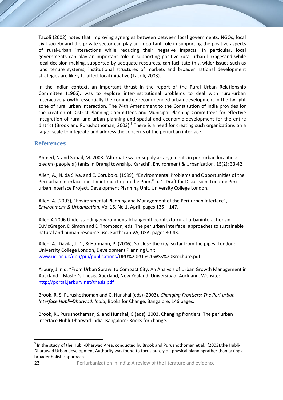Tacoli (2002) notes that improving synergies between between local governments, NGOs, local civil society and the private sector can play an important role in supporting the positive aspects of rural-urban interactions while reducing their negative impacts. In particular, local governments can play an important role in supporting positive rural-urban linkagesand while local decision-making, supported by adequate resources, can facilitate this, wider issues such as land tenure systems, institutional structures of markets and broader national development strategies are likely to affect local initiative (Tacoli, 2003).

In the Indian context, an important thrust in the report of the Rural Urban Relationship Committee (1966), was to explore inter-institutional problems to deal with rural-urban interactive growth; essentially the committee recommended urban development in the twilight zone of rural urban interaction. The 74th Amendment to the Constitution of India provides for the creation of District Planning Committees and Municipal Planning Committees for effective integration of rural and urban planning and spatial and economic development for the entire district (Brook and Purushothoman, 2003).<sup>9</sup> There is a need for creating such organizations on a larger scale to integrate and address the concerns of the periurban interface.

# **References**

Ahmed, N and Sohail, M. 2003. 'Alternate water supply arrangements in peri-urban localities: *awami* (people's ) tanks in Orangi township, Karachi', Environment & Urbanization*,* 15(2): 33-42.

Allen, A., N. da Silva, and E. Corubolo. (1999), "Environmental Problems and Opportunities of the Peri-urban Interface and Their Impact upon the Poor," p. 1. Draft for Discussion. London: Periurban Interface Project, Development Planning Unit, University College London.

Allen, A. (2003), "Environmental Planning and Management of the Peri-urban Interface", *Environment & Urbanization*, Vol 15, No 1, April, pages 135 – 147.

Allen,A.2006.Understandingenvironmentalchangeinthecontextofrural-urbaninteractionsin D.McGregor, D.Simon and D.Thompson, eds. The periurban interface: approaches to sustainable natural and human resource use. Earthscan VA, USA, pages 30-43.

Allen, A., Dávila, J. D., & Hofmann, P. (2006). So close the city, so far from the pipes. London: University College London, Development Planning Unit. [www.ucl.ac.uk/dpu/pui/publications/D](http://www.ucl.ac.uk/dpu/pui/publications/)PU%20PUI%20WSS%20Brochure.pdf.

Arbury, J. n.d. "From Urban Sprawl to Compact City: An Analysis of Urban Growth Management in Auckland." Master's Thesis. Auckland, New Zealand: University of Auckland. Website: <http://portal.jarbury.net/thesis.pdf>

Brook, R, S. Purushothoman and C. Hunshal (eds) (2003), *Changing Frontiers: The Peri-urban Interface Hubli–Dharwad, India*, Books for Change, Bangalore, 146 pages.

Brook, R., Purushothaman, S. and Hunshal, C (eds). 2003. Changing frontiers: The periurban interface Hubli-Dharwad India. Bangalore*:* Books for change.

<sup>&</sup>lt;sup>9</sup> In the study of the Hubli-Dharwad Area, conducted by Brook and Purushothoman et al., (2003), the Hubli-Dharawad Urban development Authority was found to focus purely on physical planningrather than taking a broader holistic approach.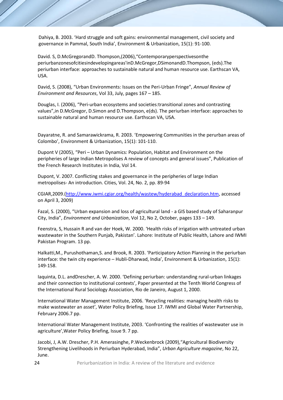Dahiya, B. 2003. 'Hard struggle and soft gains: environmental management, civil society and governance in Pammal, South India', Environment & Urbanization, 15(1): 91-100.

David. S, D.McGregorandD. Thompson,(2006),"Contemporaryperspectivesonthe periurbanzonesofcitiesindevelopingareas'inD.McGregor,DSimonandD.Thompson, (eds).The periurban interface: approaches to sustainable natural and human resource use. Earthscan VA, USA.

David, S. (2008), "Urban Environments: Issues on the Peri-Urban Fringe", *Annual Review of Environment and Resources*, Vol 33, July, pages 167 – 185.

Douglas, I. (2006), "Peri-urban ecosystems and societies:transitional zones and contrasting values",in D.McGregor, D.Simon and D.Thompson, e(ds). The periurban interface: approaches to sustainable natural and human resource use. Earthscan VA, USA.

Dayaratne, R. and Samarawickrama, R. 2003. 'Empowering Communities in the perurban areas of Colombo', Environment & Urbanization, 15(1): 101-110.

Dupont V (2005), "Peri – Urban Dynamics: Population, Habitat and Environment on the peripheries of large Indian Metropolises A review of concepts and general issues", Publication of the French Research Institutes in India, Vol 14.

Dupont, V. 2007. Conflicting stakes and governance in the peripheries of large Indian metropolises- An introduction. Cities, Vol. 24, No. 2, pp. 89-94

CGIAR,2009.[\(http://www.iwmi.cgiar.org/health/wastew/hyderabad\\_declaration.htm,](http://www.iwmi.cgiar.org/health/wastew/hyderabad_declaration.htm) accessed on April 3, 2009)

Fazal, S. (2000), "Urban expansion and loss of agricultural land - a GIS based study of Saharanpur City, India", *Environment and Urbanization*, Vol 12, No 2, October, pages 133 – 149.

Feenstra, S, Hussain R and van der Hoek, W. 2000. 'Health risks of irrigation with untreated urban wastewater in the Southern Punjab, Pakistan'. Lahore: Institute of Public Health, Lahore and IWMI Pakistan Program. 13 pp.

Halkatti,M., Purushothaman,S. and Brook, R. 2003. 'Participatory Action Planning in the periurban interface: the twin city experience – Hubli-Dharwad, India', Environment & Urbanization, 15(1): 149-158.

Iaquinta, D.L. andDrescher, A. W. 2000. 'Defining periurban: understanding rural-urban linkages and their connection to institutional contexts', Paper presented at the Tenth World Congress of the International Rural Sociology Association, Rio de Janeiro, August 1, 2000.

International Water Management Institute, 2006. 'Recycling realities: managing health risks to make wastewater an asset', Water Policy Briefing, Issue 17. IWMI and Global Water Partnership, February 2006.7 pp.

International Water Management Institute, 2003. 'Confronting the realities of wastewater use in agriculture',Water Policy Briefing, Issue 9. 7 pp.

Jacobi, J, A.W. Drescher, P.H. Amerasinghe, P.Weckenbrock (2009),"Agricultural Biodiversity Strengthening Livelihoods in Periurban Hyderabad, India", *Urban Agriculture magazine*, No 22, June.

24 **24** Periurbanization in India: A review of the literature and evidence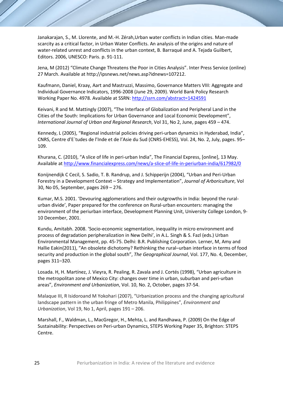Janakarajan, S., M. Llorente, and M.-H. Zérah,Urban water conflicts in Indian cities. Man-made scarcity as a critical factor, in Urban Water Conflicts. An analysis of the origins and nature of water-related unrest and conflicts in the urban context, B. Barraqué and A. Tejada Guilbert, Editors. 2006, UNESCO: Paris. p. 91-111.

Jena, M (2012) "Climate Change Threatens the Poor in Cities Analysis". Inter Press Service (online) 27 March. Available at http://ipsnews.net/news.asp?idnews=107212.

Kaufmann, Daniel, Kraay, Aart and Mastruzzi, Massimo, Governance Matters VIII: Aggregate and Individual Governance Indicators, 1996-2008 (June 29, 2009). World Bank Policy Research Working Paper No. 4978. Available at SSRN[: http://ssrn.com/abstract=1424591](http://ssrn.com/abstract=1424591)

Keivani, R and M. Mattingly (2007), "The Interface of Globalization and Peripheral Land in the Cities of the South: Implications for Urban Governance and Local Economic Development", *International Journal of Urban and Regional Research*, Vol 31, No 2, June, pages 459 – 474.

Kennedy, L (2005), "Regional industrial policies driving peri-urban dynamics in Hyderabad, India", CNRS, Centre d'E´tudes de l'Inde et de l'Asie du Sud (CNRS-EHESS), Vol. 24, No. 2, July, pages. 95– 109.

Khurana, C. (2010), "A slice of life in peri-urban India", The Financial Express, [online], 13 May. Available at <http://www.financialexpress.com/news/a-slice-of-life-in-periurban-india/617982/0>

Konijnendijk C Cecil, S. Sadio, T. B. Randrup, and J. Schipperijn (2004), "Urban and Peri-Urban Forestry in a Development Context – Strategy and Implementation", *Journal of Arboriculture*, Vol 30, No 05, September, pages 269 – 276.

Kumar, M.S. 2001. 'Devouring agglomerations and their outgrowths in India: beyond the ruralurban divide', Paper prepared for the conference on Rural-urban encounters: managing the environment of the periurban interface, Development Planning Unit, University College London, 9- 10 December, 2001.

Kundu, Amitabh. 2008. 'Socio-economic segmentation, inequality in micro environment and process of degradation peripheralization in New Delhi', in A.L. Singh & S. Fazl (eds.) Urban Environmental Management, pp. 45-75. Delhi: B.R. Publishing Corporation. Lerner, M, Amy and Hallie Eakin(2011), "An obsolete dichotomy? Rethinking the rural–urban interface in terms of food security and production in the global south", *The Geographical Journal*, Vol. 177, No. 4, December, pages 311–320.

Losada. H, H. Martínez, J. Vieyra, R. Pealing, R. Zavala and J. Cortés (1998), "Urban agriculture in the metropolitan zone of Mexico City: changes over time in urban, suburban and peri-urban areas", *Environment and Urbanization*, Vol. 10, No. 2, October, pages 37-54.

Malaque III, R Isidoroand M Yokohari (2007), "Urbanization process and the changing agricultural landscape pattern in the urban fringe of Metro Manila, Philippines", *Environment and Urbanization*, Vol 19, No 1, April, pages 191 – 206.

Marshall, F., Waldman, L., MacGregor, H., Mehta, L. and Randhawa, P. (2009) On the Edge of Sustainability: Perspectives on Peri-urban Dynamics, STEPS Working Paper 35, Brighton: STEPS Centre.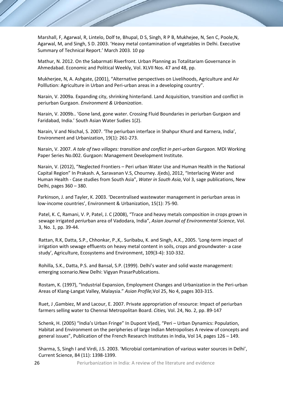Marshall, F, Agarwal, R, Lintelo, Dolf te, Bhupal, D S, Singh, R P B, Mukhejee, N, Sen C, Poole,N, Agarwal, M, and Singh, S D. 2003. 'Heavy metal contamination of vegetables in Delhi. Executive Summary of Technical Report.' March 2003. 10 pp

Mathur, N. 2012. On the Sabarmati Riverfront. Urban Planning as Totalitariam Governance in Ahmedabad. Economic and Political Weekly, Vol. XLVII Nos. 47 and 48, pp.

Mukherjee, N, A. Ashgate, (2001), "Alternative perspectives on Livelihoods, Agriculture and Air Polllution: Agriculture in Urban and Peri-urban areas in a developing country".

Narain, V. 2009a. Expanding city, shrinking hinterland. Land Acquisition, transition and conflict in periurban Gurgaon. *Environment & Urbanization*.

Narain, V. 2009b.. 'Gone land, gone water. Crossing Fluid Boundaries in periurban Gurgaon and Faridabad, India.' South Asian Water Sudies 1(2).

Narain, V and Nischal, S. 2007. 'The periurban interface in Shahpur Khurd and Karnera, India', Environment and Urbanization, 19(1): 261-273.

Narain, V. 2007. *A tale of two villages: transition and conflict in peri-urban Gurgaon.* MDI Working Paper Series No.002. Gurgaon: Management Development Institute.

Narain, V. (2012), "Neglected Frontiers – Peri urban Water Use and Human Health in the National Capital Region" In Prakash. A, Saravanan V.S, Chourney. J(eds), 2012, "Interlacing Water and Human Health - Case studies from South Asia", *Water in South Asia*, Vol 3, sage publications, New Delhi, pages 360 – 380.

Parkinson, J. and Tayler, K. 2003. 'Decentralised wastewater management in periurban areas in low-income countries', Environment & Urbanization, 15(1): 75-90.

Patel, K. C, Ramani, V. P, Patel, J. C (2008), "Trace and heavy metals composition in crops grown in sewage irrigated *peri*urban area of Vadodara, India", *Asian Journal of Environmental Science*, Vol. 3, No. 1, pp. 39-44.

Rattan, R.K, Datta, S.P., Chhonkar, P.,K,. Suribabu, K. and Singh, A.K., 2005. 'Long-term impact of irrigation with sewage effluents on heavy metal content in soils, crops and groundwater- a case study', Agriculture, Ecosystems and Environment, 109(3-4): 310-332.

Rohilla, S.K., Datta, P.S. and Bansal, S.P. (1999). Delhi's water and solid waste management: emerging scenario.New Delhi: Vigyan PrasarPublications.

Rostam, K. (1997), "Industrial Expansion, Employment Changes and Urbanization in the Peri-urban Areas of Klang-Langat Valley, Malaysia." *Asian Profile,*Vol 25, No 4, pages 303-315.

Ruet, J ,Gambiez, M and Lacour, E. 2007. Private appropriation of resource: Impact of periurban farmers selling water to Chennai Metropolitan Board. *Cities,* Vol. 24, No. 2, pp. 89-147

Schenk, H. (2005) "India's Urban Fringe" In Dupont V(ed), "Peri – Urban Dynamics: Population, Habitat and Environment on the peripheries of large Indian Metropolises A review of concepts and general issues", Publication of the French Research Institutes in India, Vol 14, pages 126 – 149.

Sharma, S, Singh I and Virdi, J.S. 2003. 'Microbial contamination of various water sources in Delhi', Current Science, 84 (11): 1398-1399.

26 **26** Periurbanization in India: A review of the literature and evidence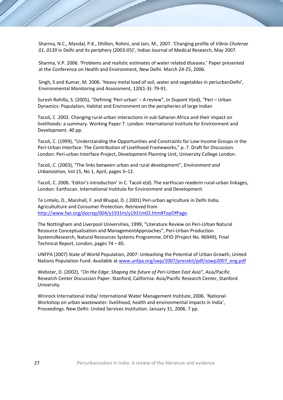Sharma, N.C., Mandal, P.K., Dhillon, Rohini, and Jain, M., 2007. 'Changing profile of *Vibrio Cholerae 01, 0139* in Delhi and its periphery (2003-05)', Indian Journal of Medical Research, May 2007.

Sharma, V.P. 2006. 'Problems and realistic estimates of water related diseases.' Paper presented at the Conference on Health and Environment, New Delhi. March 24-25, 2006.

Singh, S and Kumar, M. 2006. 'Heavy metal load of soil, water and vegetables in periurbanDelhi', Environmental Monitoring and Assessment, 120(1-3): 79-91.

Suresh Rohilla, S. (2005), "Defining 'Peri-urban' – A review", In Dupont V(ed), "Peri – Urban Dynamics: Population, Habitat and Environment on the peripheries of large Indian

Tacoli, C .2002. Changing rural-urban interactions in sub-Saharan Africa and their impact on livelihoods: a summary. Working Paper 7. London: International Institute for Environment and Development. 40 pp.

Tacoli, C. (1999), "Understanding the Opportunities and Constraints for Low-Income Groups in the Peri-Urban Interface: The Contribution of Livelihood Frameworks," p. 7. Draft for Discussion. London: Peri-urban Interface Project, Development Planning Unit, University College London.

Tacoli, C. (2003), "The links between urban and rural development", *Environment and Urbanization,* Vol 15, No 1, April, pages 3–12.

Tacoli, C. 2006. 'Editor's introduction' in C. Tacoli e(d). The earthscan readerin rural-urban linkages, London: Earthscan. International Institute for Environment and Development.

Te Lintelo, D., Marshall, F. and Bhupal, D. ( 2001) Peri-urban agriculture in Delhi India. Agricultulture and Consumer Protection. Retrieved from [http://www.fao.org/docrep/004/y1931m/y1931m02.htm#TopOfPage.](http://www.fao.org/docrep/004/y1931m/y1931m02.htm#TopOfPage)

The Nottingham and Liverpool Universities, 1999, "Literature Review on Peri-Urban Natural Resource Conceptualisation and ManagementApproaches", Peri-Urban Production SystemsResearch, Natural Resources Systems Programme, DFID (Project No. R6949), Final Technical Report, London, pages 74 – 85.

UNFPA (2007) State of World Population, 2007: Unleashing the Potential of Urban Growth, United Nations Population Fund. Available a[t www.unfpa.org/swp/2007/presskit/pdf/sowp2007\\_eng.pdf](http://www.unfpa.org/swp/2007/presskit/pdf/sowp2007_eng.pdf)

Webster, D. (2002), "*On the Edge: Shaping the future of Peri-Urban East Asia",* Asia/Pacific Research Center Discussion Paper. Stanford, California: Asia/Pacific Research Center, Stanford University.

Winrock International India/ International Water Management Institute, 2006. 'National Workshop on urban wastewater: livelihood, health and environmental impacts in India', Proceedings. New Delhi: United Services Institution. January 31, 2006. 7 pp.